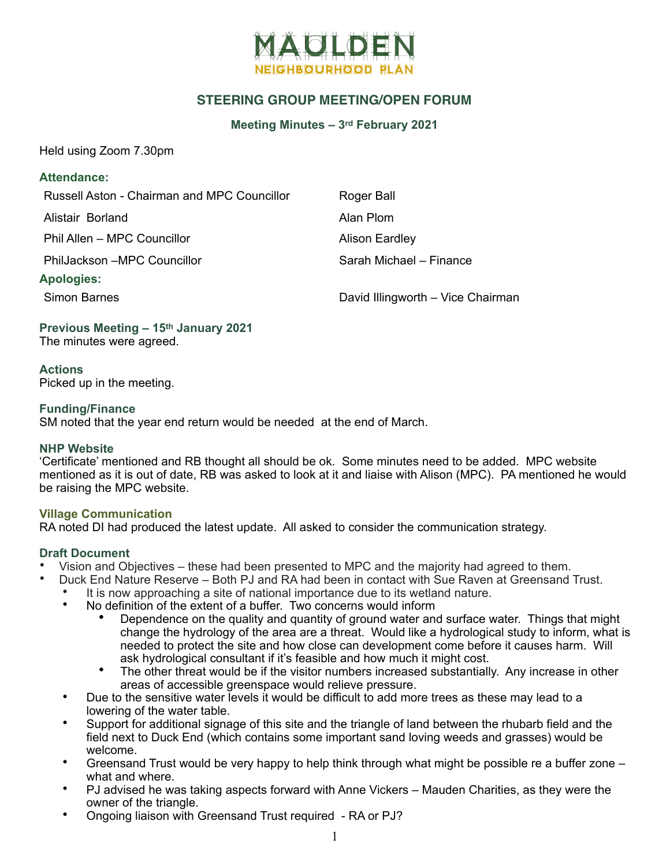

# **STEERING GROUP MEETING/OPEN FORUM**

#### **Meeting Minutes – 3rd February 2021**

Held using Zoom 7.30pm

#### **Attendance:**

| Russell Aston - Chairman and MPC Councillor | Roger Ball                        |
|---------------------------------------------|-----------------------------------|
| Alistair Borland                            | Alan Plom                         |
| Phil Allen – MPC Councillor                 | <b>Alison Eardley</b>             |
| PhilJackson -MPC Councillor                 | Sarah Michael - Finance           |
| <b>Apologies:</b>                           |                                   |
| <b>Simon Barnes</b>                         | David Illingworth - Vice Chairman |

# **Previous Meeting – 15th January 2021**

The minutes were agreed.

**Actions**  Picked up in the meeting.

#### **Funding/Finance**

SM noted that the year end return would be needed at the end of March.

## **NHP Website**

'Certificate' mentioned and RB thought all should be ok. Some minutes need to be added. MPC website mentioned as it is out of date, RB was asked to look at it and liaise with Alison (MPC). PA mentioned he would be raising the MPC website.

## **Village Communication**

RA noted DI had produced the latest update. All asked to consider the communication strategy.

# **Draft Document**

- Vision and Objectives these had been presented to MPC and the majority had agreed to them.<br>• Duck End Nature Reserve Both P Land RA had been in contact with Sue Rayen at Greensand.
	- Duck End Nature Reserve Both PJ and RA had been in contact with Sue Raven at Greensand Trust.
		- It is now approaching a site of national importance due to its wetland nature.
		- No definition of the extent of a buffer. Two concerns would inform
			- Dependence on the quality and quantity of ground water and surface water. Things that might change the hydrology of the area are a threat. Would like a hydrological study to inform, what is needed to protect the site and how close can development come before it causes harm. Will ask hydrological consultant if it's feasible and how much it might cost.
			- The other threat would be if the visitor numbers increased substantially. Any increase in other areas of accessible greenspace would relieve pressure.
		- Due to the sensitive water levels it would be difficult to add more trees as these may lead to a lowering of the water table.
		- Support for additional signage of this site and the triangle of land between the rhubarb field and the field next to Duck End (which contains some important sand loving weeds and grasses) would be welcome.
		- Greensand Trust would be very happy to help think through what might be possible re a buffer zone what and where.
		- PJ advised he was taking aspects forward with Anne Vickers Mauden Charities, as they were the owner of the triangle.
		- Ongoing liaison with Greensand Trust required RA or PJ?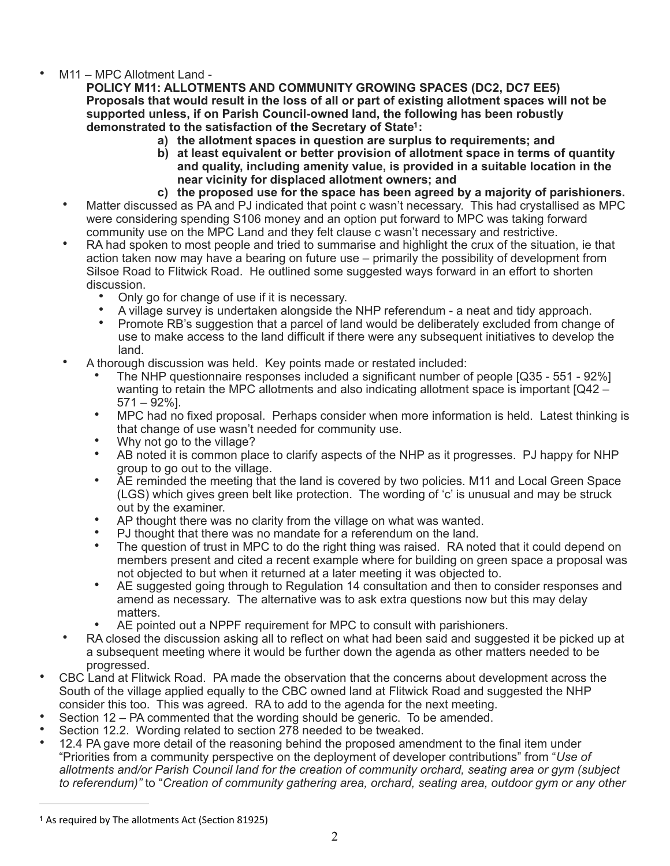# • M11 – MPC Allotment Land -

**POLICY M11: ALLOTMENTS AND COMMUNITY GROWING SPACES (DC2, DC7 EE5) Proposals that would result in the loss of all or part of existing allotment spaces will not be supported unless, if on Parish Council-owned land, the following has been robustly demonstrated to the satisfaction of the Secretary of State : [1](#page-1-0)**

- **a) the allotment spaces in question are surplus to requirements; and**
- <span id="page-1-1"></span>**b) at least equivalent or better provision of allotment space in terms of quantity and quality, including amenity value, is provided in a suitable location in the near vicinity for displaced allotment owners; and**
- **c) the proposed use for the space has been agreed by a majority of parishioners.**
- Matter discussed as PA and PJ indicated that point c wasn't necessary. This had crystallised as MPC were considering spending S106 money and an option put forward to MPC was taking forward community use on the MPC Land and they felt clause c wasn't necessary and restrictive.
- RA had spoken to most people and tried to summarise and highlight the crux of the situation, ie that action taken now may have a bearing on future use – primarily the possibility of development from Silsoe Road to Flitwick Road. He outlined some suggested ways forward in an effort to shorten discussion.
	- Only go for change of use if it is necessary.
	- A village survey is undertaken alongside the NHP referendum a neat and tidy approach.
	- Promote RB's suggestion that a parcel of land would be deliberately excluded from change of use to make access to the land difficult if there were any subsequent initiatives to develop the land.
- A thorough discussion was held. Key points made or restated included:
	- The NHP questionnaire responses included a significant number of people [Q35 551 92%] wanting to retain the MPC allotments and also indicating allotment space is important [Q42 –  $571 - 92\%$ ].
	- MPC had no fixed proposal. Perhaps consider when more information is held. Latest thinking is that change of use wasn't needed for community use.
	- Why not go to the village?
	- AB noted it is common place to clarify aspects of the NHP as it progresses. PJ happy for NHP group to go out to the village.
	- AE reminded the meeting that the land is covered by two policies. M11 and Local Green Space (LGS) which gives green belt like protection. The wording of 'c' is unusual and may be struck out by the examiner.
	- AP thought there was no clarity from the village on what was wanted.
	- PJ thought that there was no mandate for a referendum on the land.
	- The question of trust in MPC to do the right thing was raised. RA noted that it could depend on members present and cited a recent example where for building on green space a proposal was not objected to but when it returned at a later meeting it was objected to.
	- AE suggested going through to Regulation 14 consultation and then to consider responses and amend as necessary. The alternative was to ask extra questions now but this may delay matters.
	- AE pointed out a NPPF requirement for MPC to consult with parishioners.
- RA closed the discussion asking all to reflect on what had been said and suggested it be picked up at a subsequent meeting where it would be further down the agenda as other matters needed to be progressed.
- CBC Land at Flitwick Road. PA made the observation that the concerns about development across the South of the village applied equally to the CBC owned land at Flitwick Road and suggested the NHP consider this too. This was agreed. RA to add to the agenda for the next meeting.
- Section 12 PA commented that the wording should be generic. To be amended.
- Section 12.2. Wording related to section 278 needed to be tweaked.
- 12.4 PA gave more detail of the reasoning behind the proposed amendment to the final item under "Priorities from a community perspective on the deployment of developer contributions" from "*Use of allotments and/or Parish Council land for the creation of community orchard, seating area or gym (subject to referendum)"* to "*Creation of community gathering area, orchard, seating area, outdoor gym or any other*

<span id="page-1-0"></span>[<sup>1</sup>](#page-1-1) As required by The allotments Act (Section 81925)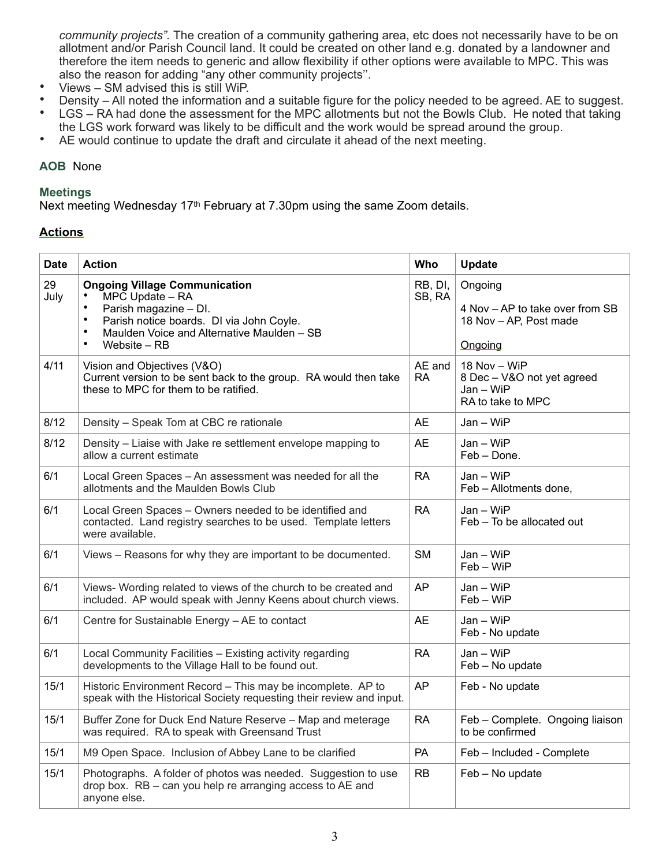*community projects".* The creation of a community gathering area, etc does not necessarily have to be on allotment and/or Parish Council land. It could be created on other land e.g. donated by a landowner and therefore the item needs to generic and allow flexibility if other options were available to MPC. This was also the reason for adding "any other community projects''.

- Views SM advised this is still WiP.
- Density All noted the information and a suitable figure for the policy needed to be agreed. AE to suggest.<br>• I GS RA had done the assessment for the MPC allotments but not the Bowls Club. He noted that taking
- LGS RA had done the assessment for the MPC allotments but not the Bowls Club. He noted that taking the LGS work forward was likely to be difficult and the work would be spread around the group.
- AE would continue to update the draft and circulate it ahead of the next meeting.

### **AOB** None

#### **Meetings**

Next meeting Wednesday 17<sup>th</sup> February at 7.30pm using the same Zoom details.

## **Actions**

| <b>Date</b> | <b>Action</b>                                                                                                                                                                                                                                  | Who                 | Update                                                                          |
|-------------|------------------------------------------------------------------------------------------------------------------------------------------------------------------------------------------------------------------------------------------------|---------------------|---------------------------------------------------------------------------------|
| 29<br>July  | <b>Ongoing Village Communication</b><br>MPC Update - RA<br>$\bullet$<br>Parish magazine - DI.<br>$\bullet$<br>Parish notice boards. DI via John Coyle.<br>Maulden Voice and Alternative Maulden - SB<br>$\bullet$<br>$\bullet$<br>Website - RB | RB, DI,<br>SB, RA   | Ongoing<br>4 Nov - AP to take over from SB<br>18 Nov - AP, Post made<br>Ongoing |
| 4/11        | Vision and Objectives (V&O)<br>Current version to be sent back to the group. RA would then take<br>these to MPC for them to be ratified.                                                                                                       | AE and<br><b>RA</b> | 18 Nov - WiP<br>8 Dec - V&O not yet agreed<br>$Jan - WiFi$<br>RA to take to MPC |
| 8/12        | Density - Speak Tom at CBC re rationale                                                                                                                                                                                                        | <b>AE</b>           | $Jan - WiFi$                                                                    |
| 8/12        | Density - Liaise with Jake re settlement envelope mapping to<br>allow a current estimate                                                                                                                                                       | <b>AE</b>           | Jan - WiP<br>Feb - Done.                                                        |
| 6/1         | Local Green Spaces - An assessment was needed for all the<br>allotments and the Maulden Bowls Club                                                                                                                                             | <b>RA</b>           | $Jan - WiFi$<br>Feb - Allotments done,                                          |
| 6/1         | Local Green Spaces - Owners needed to be identified and<br>contacted. Land registry searches to be used. Template letters<br>were available.                                                                                                   | <b>RA</b>           | $Jan - WiFi$<br>Feb - To be allocated out                                       |
| 6/1         | Views - Reasons for why they are important to be documented.                                                                                                                                                                                   | <b>SM</b>           | $Jan - WiFi$<br>$Feb-WiP$                                                       |
| 6/1         | Views- Wording related to views of the church to be created and<br>included. AP would speak with Jenny Keens about church views.                                                                                                               | <b>AP</b>           | $Jan - WiFi$<br>$Feb - WiP$                                                     |
| 6/1         | Centre for Sustainable Energy - AE to contact                                                                                                                                                                                                  | <b>AE</b>           | Jan - WiP<br>Feb - No update                                                    |
| 6/1         | Local Community Facilities - Existing activity regarding<br>developments to the Village Hall to be found out.                                                                                                                                  | <b>RA</b>           | $Jan - WiFi$<br>Feb - No update                                                 |
| 15/1        | Historic Environment Record - This may be incomplete. AP to<br>speak with the Historical Society requesting their review and input.                                                                                                            | AP                  | Feb - No update                                                                 |
| 15/1        | Buffer Zone for Duck End Nature Reserve - Map and meterage<br>was required. RA to speak with Greensand Trust                                                                                                                                   | <b>RA</b>           | Feb - Complete. Ongoing liaison<br>to be confirmed                              |
| 15/1        | M9 Open Space. Inclusion of Abbey Lane to be clarified                                                                                                                                                                                         | PA                  | Feb - Included - Complete                                                       |
| 15/1        | Photographs. A folder of photos was needed. Suggestion to use<br>drop box. RB - can you help re arranging access to AE and<br>anyone else.                                                                                                     | <b>RB</b>           | Feb - No update                                                                 |